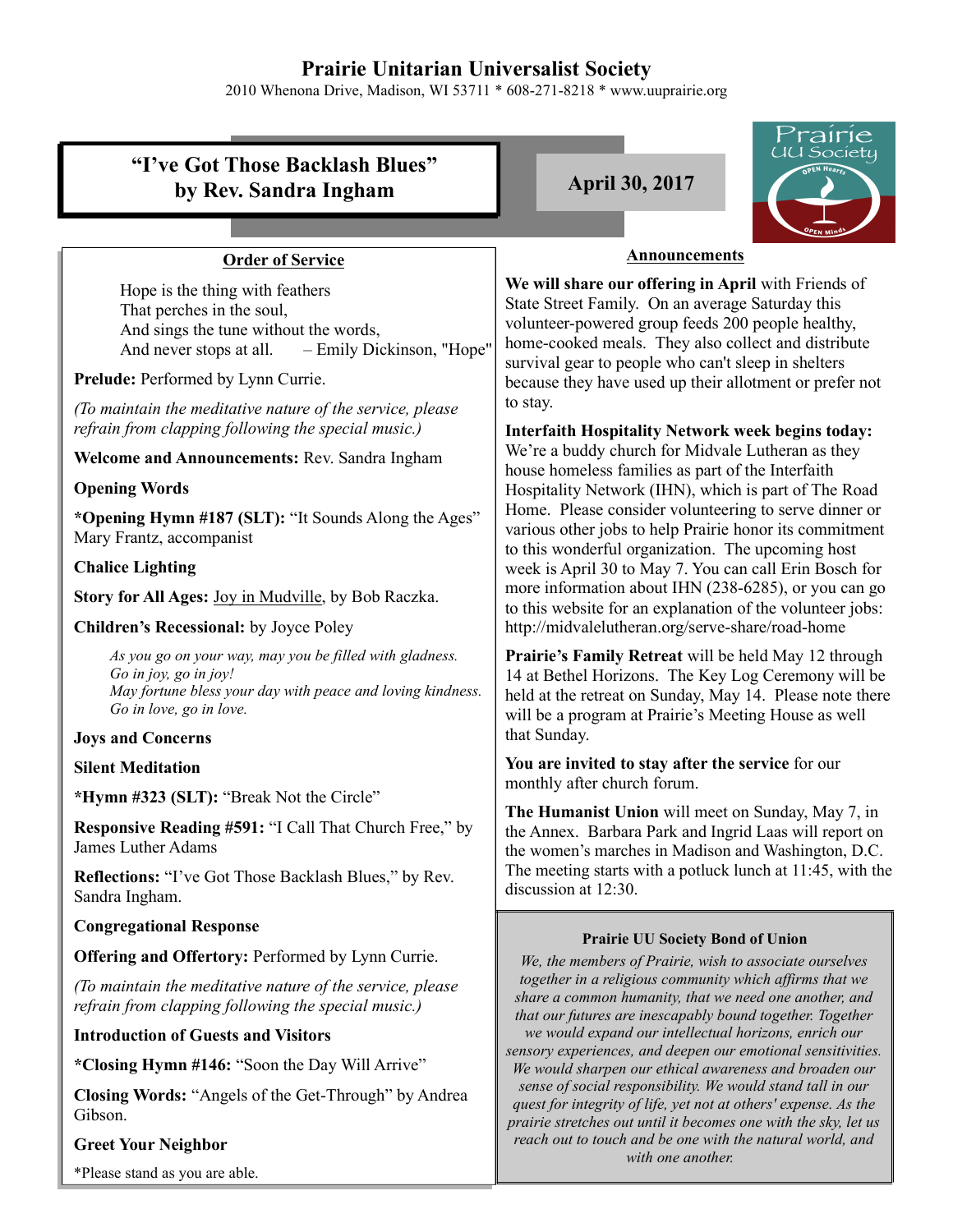### **Prairie Unitarian Universalist Society**

2010 Whenona Drive, Madison, WI 53711 \* 608-271-8218 \* www.uuprairie.org

#### rairie JU Society **"I've Got Those Backlash Blues" by Rev. Sandra Ingham April 30, 2017 Announcements Order of Service We will share our offering in April** with Friends of Hope is the thing with feathers State Street Family. On an average Saturday this That perches in the soul, volunteer-powered group feeds 200 people healthy, And sings the tune without the words, home-cooked meals. They also collect and distribute And never stops at all. – Emily Dickinson, "Hope" survival gear to people who can't sleep in shelters **Prelude:** Performed by Lynn Currie. because they have used up their allotment or prefer not to stay. *(To maintain the meditative nature of the service, please refrain from clapping following the special music.)* **Interfaith Hospitality Network week begins today:** We're a buddy church for Midvale Lutheran as they **Welcome and Announcements:** Rev. Sandra Ingham house homeless families as part of the Interfaith **Opening Words** Hospitality Network (IHN), which is part of The Road Home. Please consider volunteering to serve dinner or **\*Opening Hymn #187 (SLT):** "It Sounds Along the Ages" various other jobs to help Prairie honor its commitment Mary Frantz, accompanist to this wonderful organization. The upcoming host **Chalice Lighting** week is April 30 to May 7. You can call Erin Bosch for more information about IHN (238-6285), or you can go **Story for All Ages:** Joy in Mudville, by Bob Raczka. to this website for an explanation of the volunteer jobs: **Children's Recessional:** by Joyce Poley http://midvalelutheran.org/serve-share/road-home *As you go on your way, may you be filled with gladness.* **Prairie's Family Retreat** will be held May 12 through *Go in joy, go in joy!* 14 at Bethel Horizons. The Key Log Ceremony will be *May fortune bless your day with peace and loving kindness.*  held at the retreat on Sunday, May 14. Please note there *Go in love, go in love.* will be a program at Prairie's Meeting House as well that Sunday. **Joys and Concerns You are invited to stay after the service** for our **Silent Meditation** monthly after church forum. **\*Hymn #323 (SLT):** "Break Not the Circle" **The Humanist Union** will meet on Sunday, May 7, in **Responsive Reading #591:** "I Call That Church Free," by the Annex. Barbara Park and Ingrid Laas will report on James Luther Adams the women's marches in Madison and Washington, D.C. The meeting starts with a potluck lunch at 11:45, with the **Reflections:** "I've Got Those Backlash Blues," by Rev. discussion at 12:30. Sandra Ingham. **Congregational Response Prairie UU Society Bond of Union Offering and Offertory:** Performed by Lynn Currie. *We, the members of Prairie, wish to associate ourselves together in a religious community which affirms that we (To maintain the meditative nature of the service, please share a common humanity, that we need one another, and refrain from clapping following the special music.) that our futures are inescapably bound together. Together* **Introduction of Guests and Visitors** *we would expand our intellectual horizons, enrich our sensory experiences, and deepen our emotional sensitivities.* **\*Closing Hymn #146:** "Soon the Day Will Arrive" *We would sharpen our ethical awareness and broaden our sense of social responsibility. We would stand tall in our* **Closing Words:** "Angels of the Get-Through" by Andrea *quest for integrity of life, yet not at others' expense. As the* Gibson. *prairie stretches out until it becomes one with the sky, let us reach out to touch and be one with the natural world, and*

*with one another.* 

#### **Greet Your Neighbor**

\*Please stand as you are able.